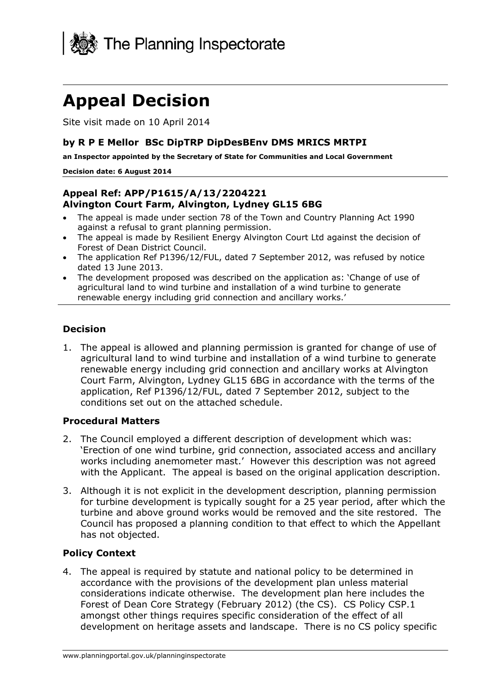

# **Appeal Decision**

Site visit made on 10 April 2014

#### **by R P E Mellor BSc DipTRP DipDesBEnv DMS MRICS MRTPI**

 **an Inspector appointed by the Secretary of State for Communities and Local Government**

#### **Decision date: 6 August 2014**

#### **Appeal Ref: APP/P1615/A/13/2204221 Alvington Court Farm, Alvington, Lydney GL15 6BG**

- • The appeal is made under section 78 of the Town and Country Planning Act 1990 against a refusal to grant planning permission.
- • The appeal is made by Resilient Energy Alvington Court Ltd against the decision of Forest of Dean District Council.
- The application Ref P1396/12/FUL, dated 7 September 2012, was refused by notice dated 13 June 2013.
- The development proposed was described on the application as: 'Change of use of agricultural land to wind turbine and installation of a wind turbine to generate renewable energy including grid connection and ancillary works.'

#### **Decision**

1. The appeal is allowed and planning permission is granted for change of use of agricultural land to wind turbine and installation of a wind turbine to generate renewable energy including grid connection and ancillary works at Alvington Court Farm, Alvington, Lydney GL15 6BG in accordance with the terms of the application, Ref P1396/12/FUL, dated 7 September 2012, subject to the conditions set out on the attached schedule.

#### **Procedural Matters**

- 2. The Council employed a different description of development which was: 'Erection of one wind turbine, grid connection, associated access and ancillary works including anemometer mast.' However this description was not agreed with the Applicant. The appeal is based on the original application description.
- 3. Although it is not explicit in the development description, planning permission for turbine development is typically sought for a 25 year period, after which the turbine and above ground works would be removed and the site restored. The Council has proposed a planning condition to that effect to which the Appellant has not objected.

#### **Policy Context**

4. The appeal is required by statute and national policy to be determined in accordance with the provisions of the development plan unless material considerations indicate otherwise. The development plan here includes the Forest of Dean Core Strategy (February 2012) (the CS). CS Policy CSP.1 amongst other things requires specific consideration of the effect of all development on heritage assets and landscape. There is no CS policy specific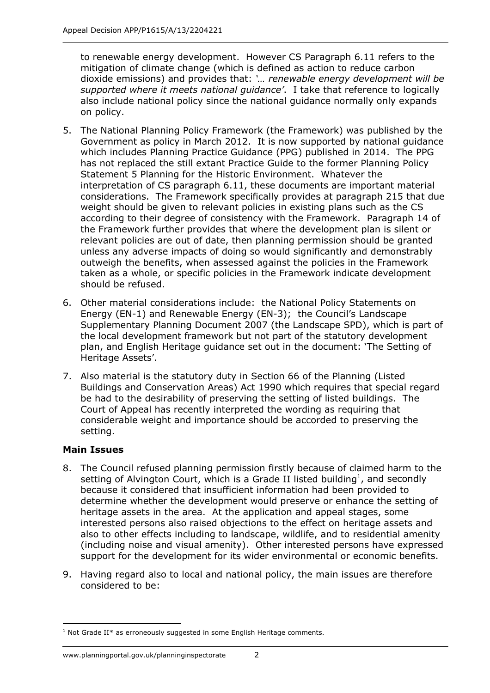to renewable energy development. However CS Paragraph 6.11 refers to the mitigation of climate change (which is defined as action to reduce carbon  dioxide emissions) and provides that: *'… renewable energy development will be supported where it meets national guidance'*. I take that reference to logically also include national policy since the national guidance normally only expands on policy.

- 5. The National Planning Policy Framework (the Framework) was published by the Government as policy in March 2012. It is now supported by national guidance which includes Planning Practice Guidance (PPG) published in 2014. The PPG has not replaced the still extant Practice Guide to the former Planning Policy Statement 5 Planning for the Historic Environment. Whatever the interpretation of CS paragraph 6.11, these documents are important material considerations. The Framework specifically provides at paragraph 215 that due weight should be given to relevant policies in existing plans such as the CS according to their degree of consistency with the Framework. Paragraph 14 of the Framework further provides that where the development plan is silent or relevant policies are out of date, then planning permission should be granted unless any adverse impacts of doing so would significantly and demonstrably outweigh the benefits, when assessed against the policies in the Framework taken as a whole, or specific policies in the Framework indicate development should be refused.
- 6. Other material considerations include: the National Policy Statements on Energy (EN-1) and Renewable Energy (EN-3); the Council's Landscape Supplementary Planning Document 2007 (the Landscape SPD), which is part of the local development framework but not part of the statutory development plan, and English Heritage guidance set out in the document: 'The Setting of Heritage Assets'.
- 7. Also material is the statutory duty in Section 66 of the Planning (Listed Buildings and Conservation Areas) Act 1990 which requires that special regard be had to the desirability of preserving the setting of listed buildings. The Court of Appeal has recently interpreted the wording as requiring that considerable weight and importance should be accorded to preserving the setting.

## **Main Issues**

- 8. The Council refused planning permission firstly because of claimed harm to the setting of Alvington Court, which is a Grade II listed building<sup>1</sup>, and secondly because it considered that insufficient information had been provided to determine whether the development would preserve or enhance the setting of heritage assets in the area. At the application and appeal stages, some interested persons also raised objections to the effect on heritage assets and also to other effects including to landscape, wildlife, and to residential amenity (including noise and visual amenity). Other interested persons have expressed support for the development for its wider environmental or economic benefits.
- 9. Having regard also to local and national policy, the main issues are therefore considered to be:

<sup>&</sup>lt;u> 1989 - Johann Barn, mars ar breithinn ar chuid ann an t-</u>  $1$  Not Grade II\* as erroneously suggested in some English Heritage comments.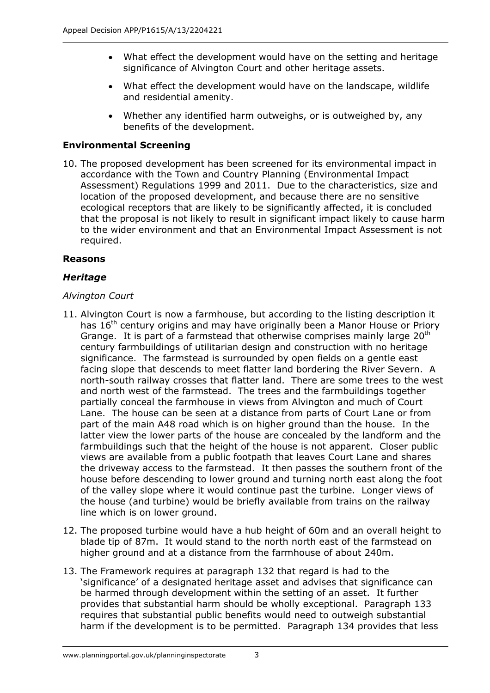- What effect the development would have on the setting and heritage significance of Alvington Court and other heritage assets.
- What effect the development would have on the landscape, wildlife and residential amenity.
- Whether any identified harm outweighs, or is outweighed by, any benefits of the development.

## **Environmental Screening**

 10. The proposed development has been screened for its environmental impact in accordance with the Town and Country Planning (Environmental Impact Assessment) Regulations 1999 and 2011. Due to the characteristics, size and location of the proposed development, and because there are no sensitive ecological receptors that are likely to be significantly affected, it is concluded that the proposal is not likely to result in significant impact likely to cause harm to the wider environment and that an Environmental Impact Assessment is not required.

## **Reasons**

## *Heritage*

## *Alvington Court*

- 11. Alvington Court is now a farmhouse, but according to the listing description it has 16<sup>th</sup> century origins and may have originally been a Manor House or Priory Grange. It is part of a farmstead that otherwise comprises mainly large  $20<sup>th</sup>$  century farmbuildings of utilitarian design and construction with no heritage significance. The farmstead is surrounded by open fields on a gentle east facing slope that descends to meet flatter land bordering the River Severn. A north-south railway crosses that flatter land. There are some trees to the west and north west of the farmstead. The trees and the farmbuildings together partially conceal the farmhouse in views from Alvington and much of Court Lane. The house can be seen at a distance from parts of Court Lane or from part of the main A48 road which is on higher ground than the house. In the latter view the lower parts of the house are concealed by the landform and the farmbuildings such that the height of the house is not apparent. Closer public views are available from a public footpath that leaves Court Lane and shares the driveway access to the farmstead. It then passes the southern front of the house before descending to lower ground and turning north east along the foot of the valley slope where it would continue past the turbine. Longer views of the house (and turbine) would be briefly available from trains on the railway line which is on lower ground.
- 12. The proposed turbine would have a hub height of 60m and an overall height to blade tip of 87m. It would stand to the north north east of the farmstead on higher ground and at a distance from the farmhouse of about 240m.
- 13. The Framework requires at paragraph 132 that regard is had to the 'significance' of a designated heritage asset and advises that significance can be harmed through development within the setting of an asset. It further provides that substantial harm should be wholly exceptional. Paragraph 133 requires that substantial public benefits would need to outweigh substantial harm if the development is to be permitted. Paragraph 134 provides that less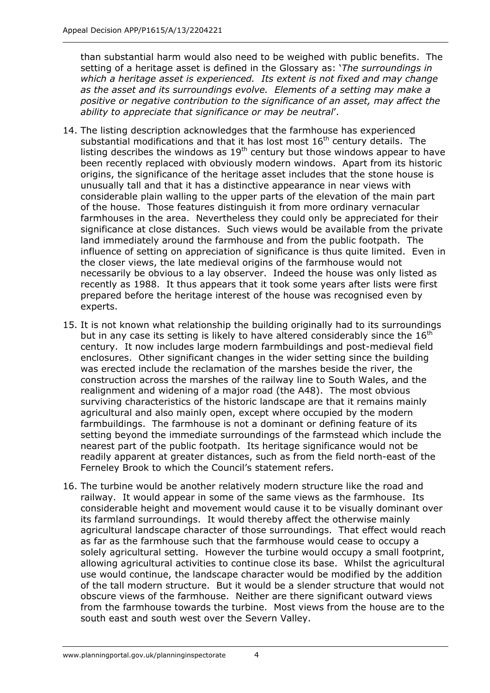than substantial harm would also need to be weighed with public benefits. The  setting of a heritage asset is defined in the Glossary as: '*The surroundings in which a heritage asset is experienced. Its extent is not fixed and may change as the asset and its surroundings evolve. Elements of a setting may make a positive or negative contribution to the significance of an asset, may affect the ability to appreciate that significance or may be neutral*'.

- 14. The listing description acknowledges that the farmhouse has experienced substantial modifications and that it has lost most  $16<sup>th</sup>$  century details. The listing describes the windows as  $19<sup>th</sup>$  century but those windows appear to have been recently replaced with obviously modern windows. Apart from its historic origins, the significance of the heritage asset includes that the stone house is unusually tall and that it has a distinctive appearance in near views with considerable plain walling to the upper parts of the elevation of the main part of the house. Those features distinguish it from more ordinary vernacular farmhouses in the area. Nevertheless they could only be appreciated for their significance at close distances. Such views would be available from the private land immediately around the farmhouse and from the public footpath. The influence of setting on appreciation of significance is thus quite limited. Even in the closer views, the late medieval origins of the farmhouse would not necessarily be obvious to a lay observer. Indeed the house was only listed as recently as 1988. It thus appears that it took some years after lists were first prepared before the heritage interest of the house was recognised even by experts.
- 15. It is not known what relationship the building originally had to its surroundings but in any case its setting is likely to have altered considerably since the  $16<sup>th</sup>$ century. It now includes large modern farmbuildings and post-medieval field enclosures. Other significant changes in the wider setting since the building was erected include the reclamation of the marshes beside the river, the construction across the marshes of the railway line to South Wales, and the realignment and widening of a major road (the A48). The most obvious surviving characteristics of the historic landscape are that it remains mainly agricultural and also mainly open, except where occupied by the modern farmbuildings. The farmhouse is not a dominant or defining feature of its setting beyond the immediate surroundings of the farmstead which include the nearest part of the public footpath. Its heritage significance would not be readily apparent at greater distances, such as from the field north-east of the Ferneley Brook to which the Council's statement refers.
- 16. The turbine would be another relatively modern structure like the road and railway. It would appear in some of the same views as the farmhouse. Its considerable height and movement would cause it to be visually dominant over its farmland surroundings. It would thereby affect the otherwise mainly agricultural landscape character of those surroundings. That effect would reach as far as the farmhouse such that the farmhouse would cease to occupy a solely agricultural setting. However the turbine would occupy a small footprint, allowing agricultural activities to continue close its base. Whilst the agricultural use would continue, the landscape character would be modified by the addition of the tall modern structure. But it would be a slender structure that would not obscure views of the farmhouse. Neither are there significant outward views from the farmhouse towards the turbine. Most views from the house are to the south east and south west over the Severn Valley.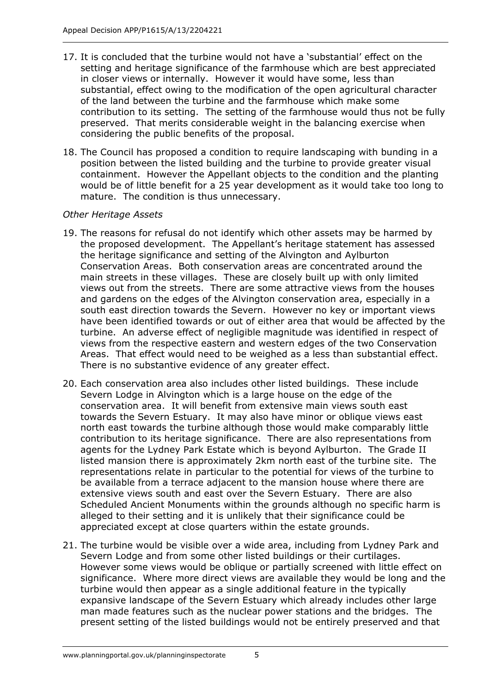- 17. It is concluded that the turbine would not have a 'substantial' effect on the setting and heritage significance of the farmhouse which are best appreciated in closer views or internally. However it would have some, less than substantial, effect owing to the modification of the open agricultural character of the land between the turbine and the farmhouse which make some contribution to its setting. The setting of the farmhouse would thus not be fully preserved. That merits considerable weight in the balancing exercise when considering the public benefits of the proposal.
- 18. The Council has proposed a condition to require landscaping with bunding in a position between the listed building and the turbine to provide greater visual containment. However the Appellant objects to the condition and the planting would be of little benefit for a 25 year development as it would take too long to mature. The condition is thus unnecessary.

### *Other Heritage Assets*

- 19. The reasons for refusal do not identify which other assets may be harmed by the proposed development. The Appellant's heritage statement has assessed the heritage significance and setting of the Alvington and Aylburton Conservation Areas. Both conservation areas are concentrated around the main streets in these villages. These are closely built up with only limited views out from the streets. There are some attractive views from the houses and gardens on the edges of the Alvington conservation area, especially in a south east direction towards the Severn. However no key or important views have been identified towards or out of either area that would be affected by the turbine. An adverse effect of negligible magnitude was identified in respect of views from the respective eastern and western edges of the two Conservation Areas. That effect would need to be weighed as a less than substantial effect. There is no substantive evidence of any greater effect.
- 20. Each conservation area also includes other listed buildings. These include Severn Lodge in Alvington which is a large house on the edge of the conservation area. It will benefit from extensive main views south east towards the Severn Estuary. It may also have minor or oblique views east north east towards the turbine although those would make comparably little contribution to its heritage significance. There are also representations from agents for the Lydney Park Estate which is beyond Aylburton. The Grade II listed mansion there is approximately 2km north east of the turbine site. The representations relate in particular to the potential for views of the turbine to be available from a terrace adjacent to the mansion house where there are extensive views south and east over the Severn Estuary. There are also Scheduled Ancient Monuments within the grounds although no specific harm is alleged to their setting and it is unlikely that their significance could be appreciated except at close quarters within the estate grounds.
- 21. The turbine would be visible over a wide area, including from Lydney Park and Severn Lodge and from some other listed buildings or their curtilages. However some views would be oblique or partially screened with little effect on significance. Where more direct views are available they would be long and the turbine would then appear as a single additional feature in the typically expansive landscape of the Severn Estuary which already includes other large man made features such as the nuclear power stations and the bridges. The present setting of the listed buildings would not be entirely preserved and that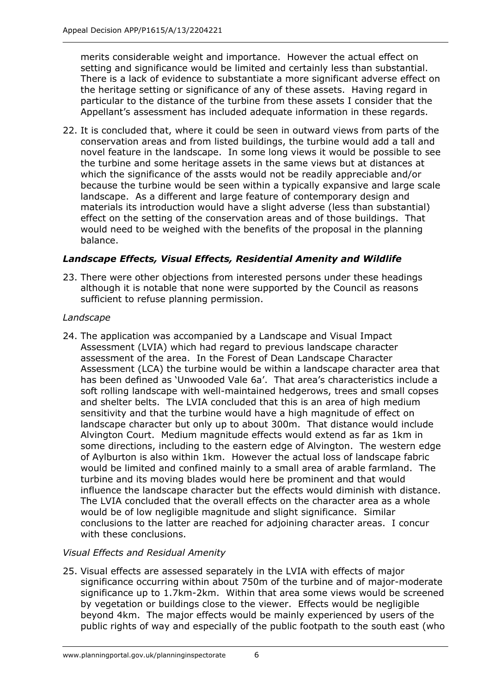merits considerable weight and importance. However the actual effect on setting and significance would be limited and certainly less than substantial. There is a lack of evidence to substantiate a more significant adverse effect on the heritage setting or significance of any of these assets. Having regard in particular to the distance of the turbine from these assets I consider that the Appellant's assessment has included adequate information in these regards.

 22. It is concluded that, where it could be seen in outward views from parts of the conservation areas and from listed buildings, the turbine would add a tall and novel feature in the landscape. In some long views it would be possible to see the turbine and some heritage assets in the same views but at distances at which the significance of the assts would not be readily appreciable and/or because the turbine would be seen within a typically expansive and large scale landscape. As a different and large feature of contemporary design and materials its introduction would have a slight adverse (less than substantial) effect on the setting of the conservation areas and of those buildings. That would need to be weighed with the benefits of the proposal in the planning balance.

## *Landscape Effects, Visual Effects, Residential Amenity and Wildlife*

 23. There were other objections from interested persons under these headings although it is notable that none were supported by the Council as reasons sufficient to refuse planning permission.

## *Landscape*

 24. The application was accompanied by a Landscape and Visual Impact Assessment (LVIA) which had regard to previous landscape character assessment of the area. In the Forest of Dean Landscape Character Assessment (LCA) the turbine would be within a landscape character area that has been defined as 'Unwooded Vale 6a'. That area's characteristics include a soft rolling landscape with well-maintained hedgerows, trees and small copses and shelter belts. The LVIA concluded that this is an area of high medium sensitivity and that the turbine would have a high magnitude of effect on landscape character but only up to about 300m. That distance would include Alvington Court. Medium magnitude effects would extend as far as 1km in some directions, including to the eastern edge of Alvington. The western edge of Aylburton is also within 1km. However the actual loss of landscape fabric would be limited and confined mainly to a small area of arable farmland. The turbine and its moving blades would here be prominent and that would influence the landscape character but the effects would diminish with distance. The LVIA concluded that the overall effects on the character area as a whole would be of low negligible magnitude and slight significance. Similar conclusions to the latter are reached for adjoining character areas. I concur with these conclusions.

## *Visual Effects and Residual Amenity*

 25. Visual effects are assessed separately in the LVIA with effects of major significance occurring within about 750m of the turbine and of major-moderate significance up to 1.7km-2km. Within that area some views would be screened by vegetation or buildings close to the viewer. Effects would be negligible beyond 4km. The major effects would be mainly experienced by users of the public rights of way and especially of the public footpath to the south east (who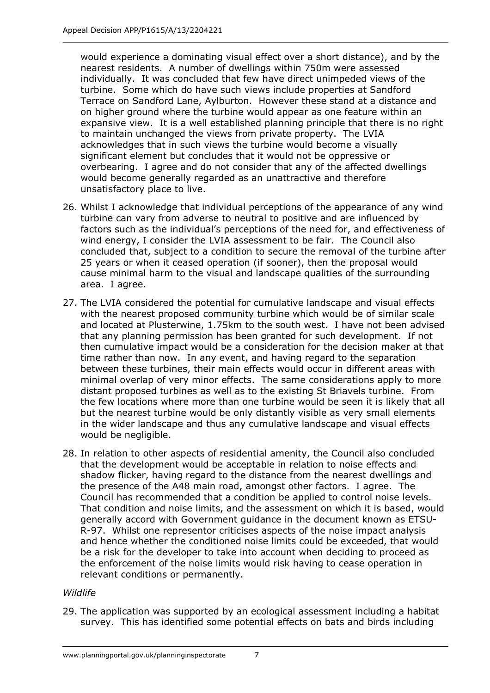would experience a dominating visual effect over a short distance), and by the nearest residents. A number of dwellings within 750m were assessed individually. It was concluded that few have direct unimpeded views of the turbine. Some which do have such views include properties at Sandford Terrace on Sandford Lane, Aylburton. However these stand at a distance and on higher ground where the turbine would appear as one feature within an expansive view. It is a well established planning principle that there is no right to maintain unchanged the views from private property. The LVIA acknowledges that in such views the turbine would become a visually significant element but concludes that it would not be oppressive or overbearing. I agree and do not consider that any of the affected dwellings would become generally regarded as an unattractive and therefore unsatisfactory place to live.

- 26. Whilst I acknowledge that individual perceptions of the appearance of any wind turbine can vary from adverse to neutral to positive and are influenced by factors such as the individual's perceptions of the need for, and effectiveness of wind energy, I consider the LVIA assessment to be fair. The Council also concluded that, subject to a condition to secure the removal of the turbine after 25 years or when it ceased operation (if sooner), then the proposal would cause minimal harm to the visual and landscape qualities of the surrounding area. I agree.
- 27. The LVIA considered the potential for cumulative landscape and visual effects with the nearest proposed community turbine which would be of similar scale and located at Plusterwine, 1.75km to the south west. I have not been advised that any planning permission has been granted for such development. If not then cumulative impact would be a consideration for the decision maker at that time rather than now. In any event, and having regard to the separation between these turbines, their main effects would occur in different areas with minimal overlap of very minor effects. The same considerations apply to more distant proposed turbines as well as to the existing St Briavels turbine. From the few locations where more than one turbine would be seen it is likely that all but the nearest turbine would be only distantly visible as very small elements in the wider landscape and thus any cumulative landscape and visual effects would be negligible.
- 28. In relation to other aspects of residential amenity, the Council also concluded that the development would be acceptable in relation to noise effects and shadow flicker, having regard to the distance from the nearest dwellings and the presence of the A48 main road, amongst other factors. I agree. The Council has recommended that a condition be applied to control noise levels. That condition and noise limits, and the assessment on which it is based, would generally accord with Government guidance in the document known as ETSU-R-97. Whilst one representor criticises aspects of the noise impact analysis and hence whether the conditioned noise limits could be exceeded, that would be a risk for the developer to take into account when deciding to proceed as the enforcement of the noise limits would risk having to cease operation in relevant conditions or permanently.

#### *Wildlife*

 29. The application was supported by an ecological assessment including a habitat survey. This has identified some potential effects on bats and birds including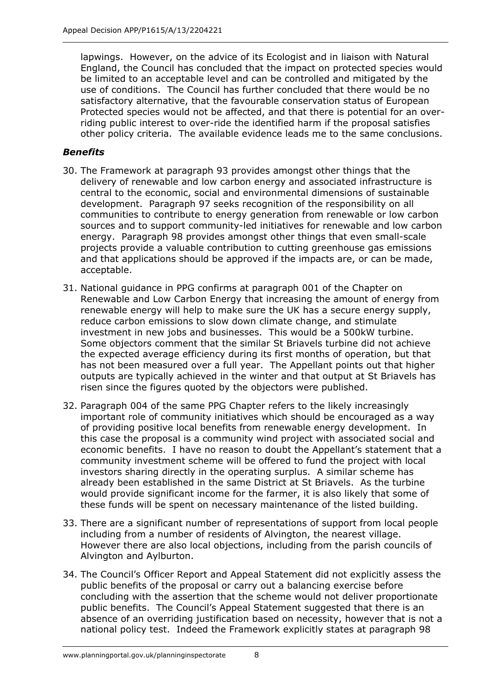lapwings. However, on the advice of its Ecologist and in liaison with Natural England, the Council has concluded that the impact on protected species would be limited to an acceptable level and can be controlled and mitigated by the use of conditions. The Council has further concluded that there would be no satisfactory alternative, that the favourable conservation status of European Protected species would not be affected, and that there is potential for an overriding public interest to over-ride the identified harm if the proposal satisfies other policy criteria. The available evidence leads me to the same conclusions.

## *Benefits*

- 30. The Framework at paragraph 93 provides amongst other things that the delivery of renewable and low carbon energy and associated infrastructure is central to the economic, social and environmental dimensions of sustainable development. Paragraph 97 seeks recognition of the responsibility on all communities to contribute to energy generation from renewable or low carbon sources and to support community-led initiatives for renewable and low carbon energy. Paragraph 98 provides amongst other things that even small-scale projects provide a valuable contribution to cutting greenhouse gas emissions and that applications should be approved if the impacts are, or can be made, acceptable.
- 31. National guidance in PPG confirms at paragraph 001 of the Chapter on Renewable and Low Carbon Energy that increasing the amount of energy from renewable energy will help to make sure the UK has a secure energy supply, reduce carbon emissions to slow down climate change, and stimulate investment in new jobs and businesses. This would be a 500kW turbine. Some objectors comment that the similar St Briavels turbine did not achieve the expected average efficiency during its first months of operation, but that has not been measured over a full year. The Appellant points out that higher outputs are typically achieved in the winter and that output at St Briavels has risen since the figures quoted by the objectors were published.
- 32. Paragraph 004 of the same PPG Chapter refers to the likely increasingly important role of community initiatives which should be encouraged as a way of providing positive local benefits from renewable energy development. In this case the proposal is a community wind project with associated social and economic benefits. I have no reason to doubt the Appellant's statement that a community investment scheme will be offered to fund the project with local investors sharing directly in the operating surplus. A similar scheme has already been established in the same District at St Briavels. As the turbine would provide significant income for the farmer, it is also likely that some of these funds will be spent on necessary maintenance of the listed building.
- 33. There are a significant number of representations of support from local people including from a number of residents of Alvington, the nearest village. However there are also local objections, including from the parish councils of Alvington and Aylburton.
- 34. The Council's Officer Report and Appeal Statement did not explicitly assess the public benefits of the proposal or carry out a balancing exercise before concluding with the assertion that the scheme would not deliver proportionate public benefits. The Council's Appeal Statement suggested that there is an absence of an overriding justification based on necessity, however that is not a national policy test. Indeed the Framework explicitly states at paragraph 98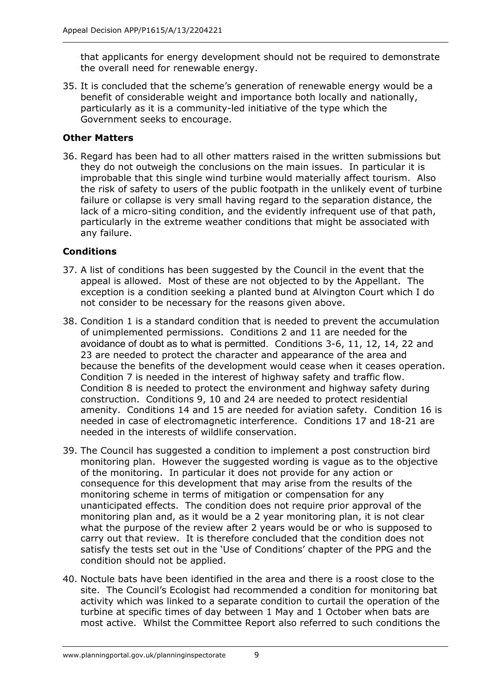that applicants for energy development should not be required to demonstrate the overall need for renewable energy.

 35. It is concluded that the scheme's generation of renewable energy would be a benefit of considerable weight and importance both locally and nationally, particularly as it is a community-led initiative of the type which the Government seeks to encourage.

## **Other Matters**

 36. Regard has been had to all other matters raised in the written submissions but they do not outweigh the conclusions on the main issues. In particular it is improbable that this single wind turbine would materially affect tourism. Also the risk of safety to users of the public footpath in the unlikely event of turbine failure or collapse is very small having regard to the separation distance, the lack of a micro-siting condition, and the evidently infrequent use of that path, particularly in the extreme weather conditions that might be associated with any failure.

## **Conditions**

- 37. A list of conditions has been suggested by the Council in the event that the appeal is allowed. Most of these are not objected to by the Appellant. The exception is a condition seeking a planted bund at Alvington Court which I do not consider to be necessary for the reasons given above.
- 38. Condition 1 is a standard condition that is needed to prevent the accumulation of unimplemented permissions. Conditions 2 and 11 are needed for the avoidance of doubt as to what is permitted. Conditions 3-6, 11, 12, 14, 22 and 23 are needed to protect the character and appearance of the area and because the benefits of the development would cease when it ceases operation. Condition 7 is needed in the interest of highway safety and traffic flow. Condition 8 is needed to protect the environment and highway safety during construction. Conditions 9, 10 and 24 are needed to protect residential amenity. Conditions 14 and 15 are needed for aviation safety. Condition 16 is needed in case of electromagnetic interference. Conditions 17 and 18-21 are needed in the interests of wildlife conservation.
- 39. The Council has suggested a condition to implement a post construction bird monitoring plan. However the suggested wording is vague as to the objective of the monitoring. In particular it does not provide for any action or consequence for this development that may arise from the results of the monitoring scheme in terms of mitigation or compensation for any unanticipated effects. The condition does not require prior approval of the monitoring plan and, as it would be a 2 year monitoring plan, it is not clear what the purpose of the review after 2 years would be or who is supposed to carry out that review. It is therefore concluded that the condition does not satisfy the tests set out in the 'Use of Conditions' chapter of the PPG and the condition should not be applied.
- 40. Noctule bats have been identified in the area and there is a roost close to the site. The Council's Ecologist had recommended a condition for monitoring bat activity which was linked to a separate condition to curtail the operation of the turbine at specific times of day between 1 May and 1 October when bats are most active. Whilst the Committee Report also referred to such conditions the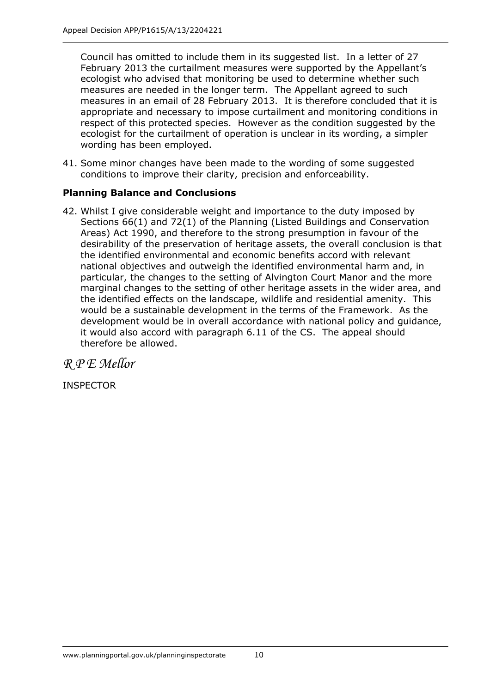Council has omitted to include them in its suggested list. In a letter of 27 February 2013 the curtailment measures were supported by the Appellant's ecologist who advised that monitoring be used to determine whether such measures are needed in the longer term. The Appellant agreed to such measures in an email of 28 February 2013. It is therefore concluded that it is appropriate and necessary to impose curtailment and monitoring conditions in respect of this protected species. However as the condition suggested by the ecologist for the curtailment of operation is unclear in its wording, a simpler wording has been employed.

 41. Some minor changes have been made to the wording of some suggested conditions to improve their clarity, precision and enforceability.

## **Planning Balance and Conclusions**

 42. Whilst I give considerable weight and importance to the duty imposed by Sections 66(1) and 72(1) of the Planning (Listed Buildings and Conservation Areas) Act 1990, and therefore to the strong presumption in favour of the desirability of the preservation of heritage assets, the overall conclusion is that the identified environmental and economic benefits accord with relevant national objectives and outweigh the identified environmental harm and, in particular, the changes to the setting of Alvington Court Manor and the more marginal changes to the setting of other heritage assets in the wider area, and the identified effects on the landscape, wildlife and residential amenity. This would be a sustainable development in the terms of the Framework. As the development would be in overall accordance with national policy and guidance, it would also accord with paragraph 6.11 of the CS. The appeal should therefore be allowed.

 *R P E Mellor*

INSPECTOR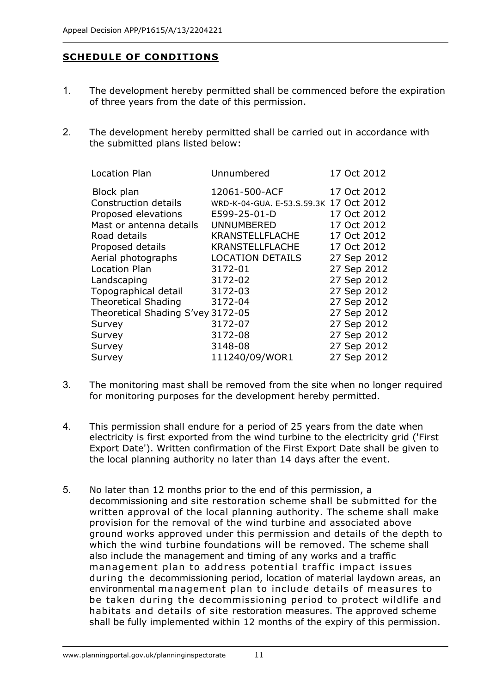## **SCHEDULE OF CONDITIONS**

- 1. The development hereby permitted shall be commenced before the expiration of three years from the date of this permission.
- 2. The development hereby permitted shall be carried out in accordance with the submitted plans listed below:

| <b>Location Plan</b>              | Unnumbered                             | 17 Oct 2012 |
|-----------------------------------|----------------------------------------|-------------|
| Block plan                        | 12061-500-ACF                          | 17 Oct 2012 |
| Construction details              | WRD-K-04-GUA. E-53.S.59.3K 17 Oct 2012 |             |
| Proposed elevations               | E599-25-01-D                           | 17 Oct 2012 |
| Mast or antenna details           | <b>UNNUMBERED</b>                      | 17 Oct 2012 |
| Road details                      | <b>KRANSTELLFLACHE</b>                 | 17 Oct 2012 |
| Proposed details                  | <b>KRANSTELLFLACHE</b>                 | 17 Oct 2012 |
| Aerial photographs                | <b>LOCATION DETAILS</b>                | 27 Sep 2012 |
| Location Plan                     | 3172-01                                | 27 Sep 2012 |
| Landscaping                       | 3172-02                                | 27 Sep 2012 |
| Topographical detail              | 3172-03                                | 27 Sep 2012 |
| <b>Theoretical Shading</b>        | 3172-04                                | 27 Sep 2012 |
| Theoretical Shading S'vey 3172-05 |                                        | 27 Sep 2012 |
| Survey                            | 3172-07                                | 27 Sep 2012 |
| Survey                            | 3172-08                                | 27 Sep 2012 |
| Survey                            | 3148-08                                | 27 Sep 2012 |
| Survey                            | 111240/09/WOR1                         | 27 Sep 2012 |
|                                   |                                        |             |

- 3. The monitoring mast shall be removed from the site when no longer required for monitoring purposes for the development hereby permitted.
- 4. This permission shall endure for a period of 25 years from the date when electricity is first exported from the wind turbine to the electricity grid ('First Export Date'). Written confirmation of the First Export Date shall be given to the local planning authority no later than 14 days after the event.
- 5. No later than 12 months prior to the end of this permission, a decommissioning and site restoration scheme shall be submitted for the written approval of the local planning authority. The scheme shall make provision for the removal of the wind turbine and associated above ground works approved under this permission and details of the depth to which the wind turbine foundations will be removed. The scheme shall also include the management and timing of any works and a traffic management plan to address potential traffic impact issues during the decommissioning period, location of material laydown areas, an environmental management plan to include details of measures to be taken during the decommissioning period to protect wildlife and habitats and details of site restoration measures. The approved scheme shall be fully implemented within 12 months of the expiry of this permission.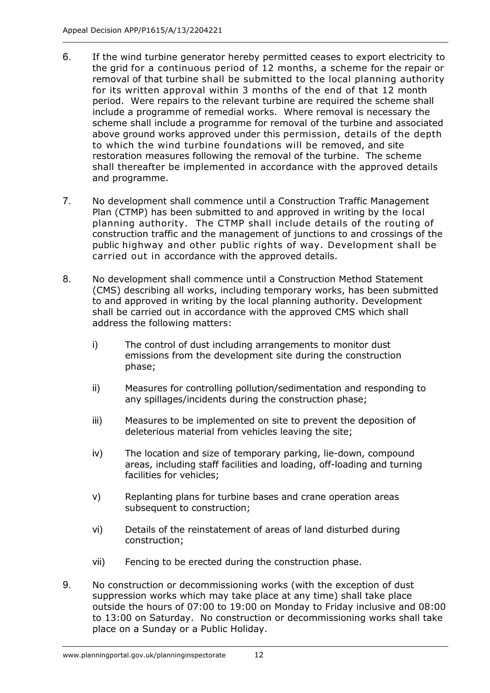- 6. If the wind turbine generator hereby permitted ceases to export electricity to the grid for a continuous period of 12 months, a scheme for the repair or removal of that turbine shall be submitted to the local planning authority for its written approval within 3 months of the end of that 12 month period. Were repairs to the relevant turbine are required the scheme shall include a programme of remedial works. Where removal is necessary the scheme shall include a programme for removal of the turbine and associated above ground works approved under this permission, details of the depth to which the wind turbine foundations will be removed, and site restoration measures following the removal of the turbine. The scheme shall thereafter be implemented in accordance with the approved details and programme.
- 7. No development shall commence until a Construction Traffic Management Plan (CTMP) has been submitted to and approved in writing by the local planning authority. The CTMP shall include details of the routing of construction traffic and the management of junctions to and crossings of the public highway and other public rights of way. Development shall be carried out in accordance with the approved details.
- 8. No development shall commence until a Construction Method Statement (CMS) describing all works, including temporary works, has been submitted to and approved in writing by the local planning authority. Development shall be carried out in accordance with the approved CMS which shall address the following matters:
	- i) The control of dust including arrangements to monitor dust emissions from the development site during the construction phase;
	- ii) Measures for controlling pollution/sedimentation and responding to any spillages/incidents during the construction phase;
	- iii) Measures to be implemented on site to prevent the deposition of deleterious material from vehicles leaving the site;
	- iv) The location and size of temporary parking, lie-down, compound areas, including staff facilities and loading, off-loading and turning facilities for vehicles;
	- v) Replanting plans for turbine bases and crane operation areas subsequent to construction;
	- vi) Details of the reinstatement of areas of land disturbed during construction;
	- vii) Fencing to be erected during the construction phase.
- 9. No construction or decommissioning works (with the exception of dust suppression works which may take place at any time) shall take place outside the hours of 07:00 to 19:00 on Monday to Friday inclusive and 08:00 to 13:00 on Saturday. No construction or decommissioning works shall take place on a Sunday or a Public Holiday.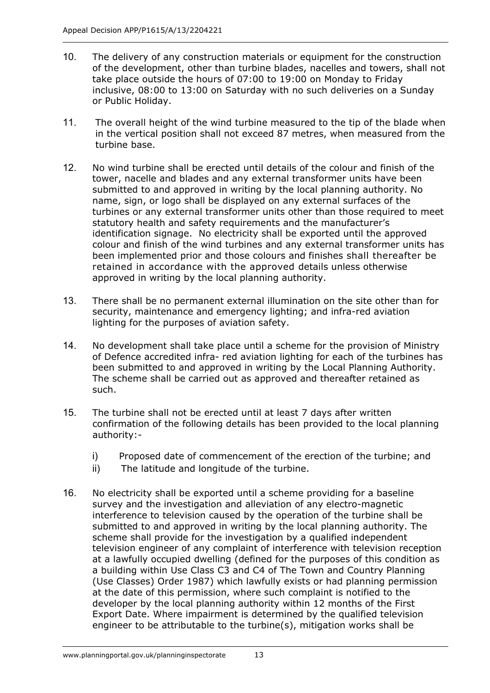- 10. The delivery of any construction materials or equipment for the construction of the development, other than turbine blades, nacelles and towers, shall not take place outside the hours of 07:00 to 19:00 on Monday to Friday inclusive, 08:00 to 13:00 on Saturday with no such deliveries on a Sunday or Public Holiday.
- 11. The overall height of the wind turbine measured to the tip of the blade when in the vertical position shall not exceed 87 metres, when measured from the turbine base.
- 12. No wind turbine shall be erected until details of the colour and finish of the tower, nacelle and blades and any external transformer units have been submitted to and approved in writing by the local planning authority. No name, sign, or logo shall be displayed on any external surfaces of the turbines or any external transformer units other than those required to meet statutory health and safety requirements and the manufacturer's identification signage. No electricity shall be exported until the approved colour and finish of the wind turbines and any external transformer units has been implemented prior and those colours and finishes shall thereafter be retained in accordance with the approved details unless otherwise approved in writing by the local planning authority.
- 13. There shall be no permanent external illumination on the site other than for security, maintenance and emergency lighting; and infra-red aviation lighting for the purposes of aviation safety.
- 14. No development shall take place until a scheme for the provision of Ministry of Defence accredited infra- red aviation lighting for each of the turbines has been submitted to and approved in writing by the Local Planning Authority. The scheme shall be carried out as approved and thereafter retained as such.
- 15. The turbine shall not be erected until at least 7 days after written confirmation of the following details has been provided to the local planning authority:
	- i) Proposed date of commencement of the erection of the turbine; and
	- ii) The latitude and longitude of the turbine.
- 16. No electricity shall be exported until a scheme providing for a baseline survey and the investigation and alleviation of any electro-magnetic interference to television caused by the operation of the turbine shall be submitted to and approved in writing by the local planning authority. The scheme shall provide for the investigation by a qualified independent television engineer of any complaint of interference with television reception at a lawfully occupied dwelling (defined for the purposes of this condition as a building within Use Class C3 and C4 of The Town and Country Planning (Use Classes) Order 1987) which lawfully exists or had planning permission at the date of this permission, where such complaint is notified to the developer by the local planning authority within 12 months of the First Export Date. Where impairment is determined by the qualified television engineer to be attributable to the turbine(s), mitigation works shall be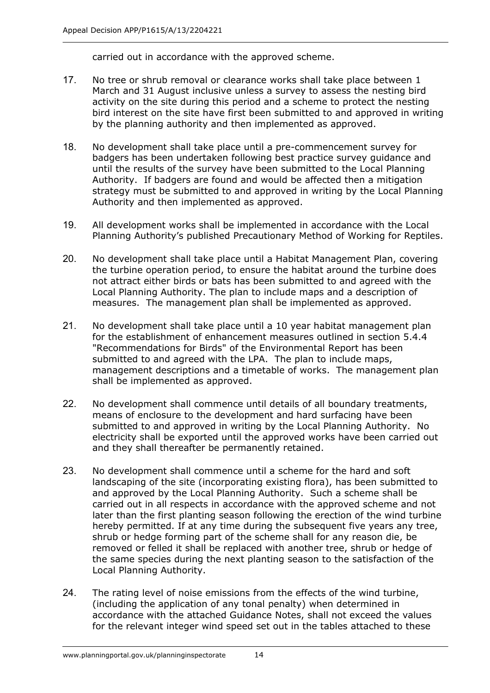carried out in accordance with the approved scheme.

- 17. No tree or shrub removal or clearance works shall take place between 1 March and 31 August inclusive unless a survey to assess the nesting bird activity on the site during this period and a scheme to protect the nesting bird interest on the site have first been submitted to and approved in writing by the planning authority and then implemented as approved.
- 18. No development shall take place until a pre-commencement survey for badgers has been undertaken following best practice survey guidance and until the results of the survey have been submitted to the Local Planning Authority. If badgers are found and would be affected then a mitigation strategy must be submitted to and approved in writing by the Local Planning Authority and then implemented as approved.
- 19. All development works shall be implemented in accordance with the Local Planning Authority's published Precautionary Method of Working for Reptiles.
- 20. No development shall take place until a Habitat Management Plan, covering the turbine operation period, to ensure the habitat around the turbine does not attract either birds or bats has been submitted to and agreed with the Local Planning Authority. The plan to include maps and a description of measures. The management plan shall be implemented as approved.
- 21. No development shall take place until a 10 year habitat management plan for the establishment of enhancement measures outlined in section 5.4.4 "Recommendations for Birds" of the Environmental Report has been submitted to and agreed with the LPA. The plan to include maps, management descriptions and a timetable of works. The management plan shall be implemented as approved.
- 22. No development shall commence until details of all boundary treatments, means of enclosure to the development and hard surfacing have been submitted to and approved in writing by the Local Planning Authority. No electricity shall be exported until the approved works have been carried out and they shall thereafter be permanently retained.
- 23. No development shall commence until a scheme for the hard and soft landscaping of the site (incorporating existing flora), has been submitted to and approved by the Local Planning Authority. Such a scheme shall be carried out in all respects in accordance with the approved scheme and not later than the first planting season following the erection of the wind turbine hereby permitted. If at any time during the subsequent five years any tree, shrub or hedge forming part of the scheme shall for any reason die, be removed or felled it shall be replaced with another tree, shrub or hedge of the same species during the next planting season to the satisfaction of the Local Planning Authority.
- 24. The rating level of noise emissions from the effects of the wind turbine, (including the application of any tonal penalty) when determined in accordance with the attached Guidance Notes, shall not exceed the values for the relevant integer wind speed set out in the tables attached to these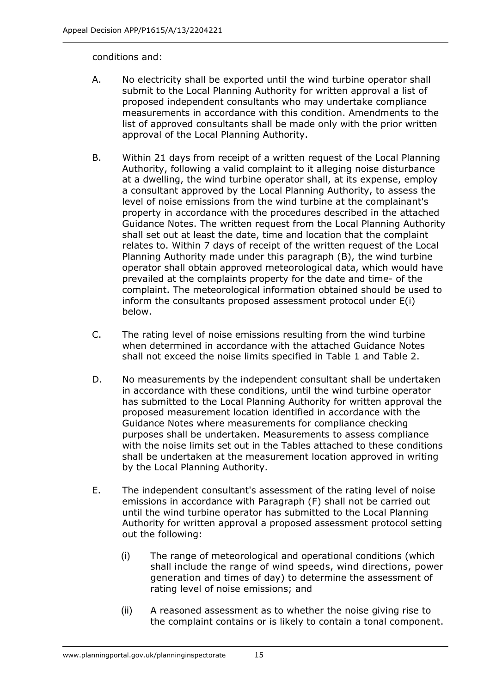### conditions and:

- A. No electricity shall be exported until the wind turbine operator shall submit to the Local Planning Authority for written approval a list of proposed independent consultants who may undertake compliance measurements in accordance with this condition. Amendments to the list of approved consultants shall be made only with the prior written approval of the Local Planning Authority.
- B. Within 21 days from receipt of a written request of the Local Planning Authority, following a valid complaint to it alleging noise disturbance at a dwelling, the wind turbine operator shall, at its expense, employ a consultant approved by the Local Planning Authority, to assess the level of noise emissions from the wind turbine at the complainant's property in accordance with the procedures described in the attached Guidance Notes. The written request from the Local Planning Authority shall set out at least the date, time and location that the complaint relates to. Within 7 days of receipt of the written request of the Local Planning Authority made under this paragraph (B), the wind turbine operator shall obtain approved meteorological data, which would have prevailed at the complaints property for the date and time- of the complaint. The meteorological information obtained should be used to inform the consultants proposed assessment protocol under E(i) below.
- C. The rating level of noise emissions resulting from the wind turbine when determined in accordance with the attached Guidance Notes shall not exceed the noise limits specified in Table 1 and Table 2.
- D. No measurements by the independent consultant shall be undertaken in accordance with these conditions, until the wind turbine operator has submitted to the Local Planning Authority for written approval the proposed measurement location identified in accordance with the Guidance Notes where measurements for compliance checking purposes shall be undertaken. Measurements to assess compliance with the noise limits set out in the Tables attached to these conditions shall be undertaken at the measurement location approved in writing by the Local Planning Authority.
- E. The independent consultant's assessment of the rating level of noise emissions in accordance with Paragraph (F) shall not be carried out until the wind turbine operator has submitted to the Local Planning Authority for written approval a proposed assessment protocol setting out the following:
	- (i) The range of meteorological and operational conditions (which shall include the range of wind speeds, wind directions, power generation and times of day) to determine the assessment of rating level of noise emissions; and
	- (ii) A reasoned assessment as to whether the noise giving rise to the complaint contains or is likely to contain a tonal component.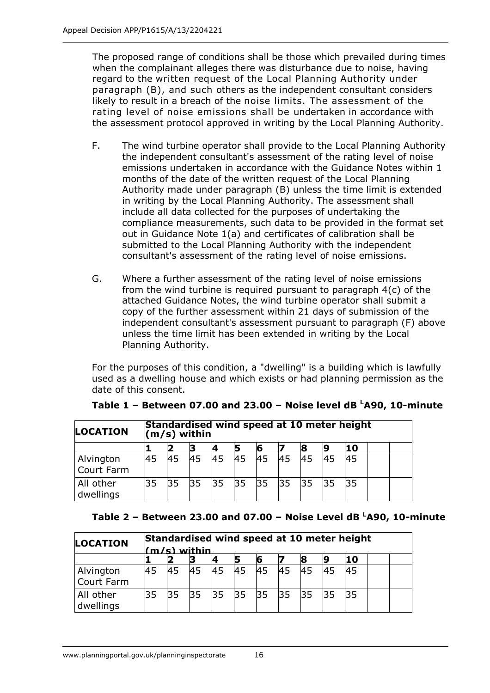The proposed range of conditions shall be those which prevailed during times when the complainant alleges there was disturbance due to noise, having regard to the written request of the Local Planning Authority under paragraph (B), and such others as the independent consultant considers likely to result in a breach of the noise limits. The assessment of the rating level of noise emissions shall be undertaken in accordance with the assessment protocol approved in writing by the Local Planning Authority.

- F. The wind turbine operator shall provide to the Local Planning Authority the independent consultant's assessment of the rating level of noise emissions undertaken in accordance with the Guidance Notes within 1 months of the date of the written request of the Local Planning Authority made under paragraph (B) unless the time limit is extended in writing by the Local Planning Authority. The assessment shall include all data collected for the purposes of undertaking the compliance measurements, such data to be provided in the format set out in Guidance Note 1(a) and certificates of calibration shall be submitted to the Local Planning Authority with the independent consultant's assessment of the rating level of noise emissions.
- G. Where a further assessment of the rating level of noise emissions from the wind turbine is required pursuant to paragraph 4(c) of the attached Guidance Notes, the wind turbine operator shall submit a copy of the further assessment within 21 days of submission of the independent consultant's assessment pursuant to paragraph (F) above unless the time limit has been extended in writing by the Local Planning Authority.

 For the purposes of this condition, a "dwelling" is a building which is lawfully used as a dwelling house and which exists or had planning permission as the date of this consent.

| <b>LOCATION</b>         | Standardised wind speed at 10 meter height<br>$(m/s)$ within |    |    |    |    |    |           |    |     |     |  |  |
|-------------------------|--------------------------------------------------------------|----|----|----|----|----|-----------|----|-----|-----|--|--|
|                         |                                                              |    |    |    |    |    |           |    |     | '10 |  |  |
| Alvington<br>Court Farm | 45                                                           | 45 | 45 | 45 | 45 | 45 | <b>45</b> | 45 | 145 | 45  |  |  |
| All other<br>dwellings  | 35                                                           | 35 | 35 | 35 | 35 | 35 | 35        | 35 | 35  | 35  |  |  |

## **Table 1 – Between 07.00 and 23.00 – Noise level dB <sup>L</sup> A90, 10minute**

#### **Table 2 – Between 23.00 and 07.00 – Noise Level dB <sup>L</sup> A90, 10minute**

| <b>LOCATION</b>         | Standardised wind speed at 10 meter height<br>m/s) within |    |    |    |       |    |    |             |    |    |  |  |
|-------------------------|-----------------------------------------------------------|----|----|----|-------|----|----|-------------|----|----|--|--|
|                         |                                                           |    |    |    |       |    |    |             |    | 10 |  |  |
| Alvington<br>Court Farm | 45                                                        | 45 | 45 | 45 | 45    | 45 | 45 | 45          | 45 | 45 |  |  |
| All other<br>dwellings  | 35                                                        | 35 | 35 |    | 35 35 |    |    | 35 35 35 35 |    | 35 |  |  |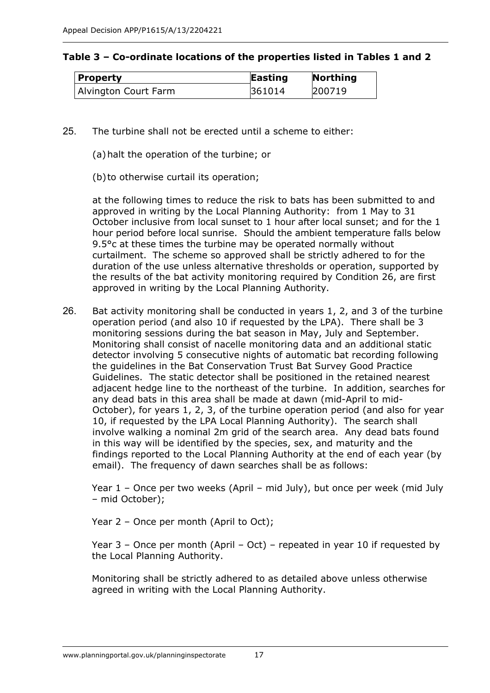| Property             | <b>Easting</b> | Northing |
|----------------------|----------------|----------|
| Alvington Court Farm | 361014         | 200719   |

- 25. The turbine shall not be erected until a scheme to either:
	- (a)halt the operation of the turbine; or
	- (b) to otherwise curtail its operation;

 at the following times to reduce the risk to bats has been submitted to and approved in writing by the Local Planning Authority: from 1 May to 31 October inclusive from local sunset to 1 hour after local sunset; and for the 1 hour period before local sunrise. Should the ambient temperature falls below 9.5°c at these times the turbine may be operated normally without curtailment. The scheme so approved shall be strictly adhered to for the duration of the use unless alternative thresholds or operation, supported by the results of the bat activity monitoring required by Condition 26, are first approved in writing by the Local Planning Authority.

26. Bat activity monitoring shall be conducted in years 1, 2, and 3 of the turbine operation period (and also 10 if requested by the LPA). There shall be 3 monitoring sessions during the bat season in May, July and September. Monitoring shall consist of nacelle monitoring data and an additional static detector involving 5 consecutive nights of automatic bat recording following the guidelines in the Bat Conservation Trust Bat Survey Good Practice Guidelines. The static detector shall be positioned in the retained nearest adjacent hedge line to the northeast of the turbine. In addition, searches for any dead bats in this area shall be made at dawn (mid-April to mid- October), for years 1, 2, 3, of the turbine operation period (and also for year 10, if requested by the LPA Local Planning Authority). The search shall involve walking a nominal 2m grid of the search area. Any dead bats found in this way will be identified by the species, sex, and maturity and the findings reported to the Local Planning Authority at the end of each year (by email). The frequency of dawn searches shall be as follows:

 Year 1 – Once per two weeks (April – mid July), but once per week (mid July – mid October);

Year 2 – Once per month (April to Oct);

 Year 3 – Once per month (April – Oct) – repeated in year 10 if requested by the Local Planning Authority.

 Monitoring shall be strictly adhered to as detailed above unless otherwise agreed in writing with the Local Planning Authority.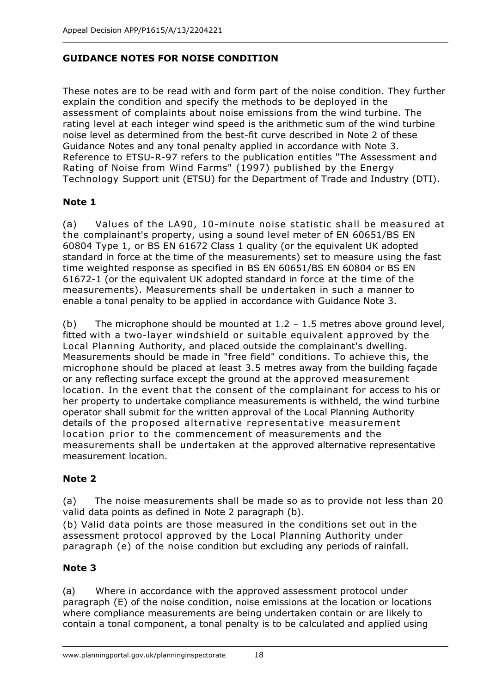## **GUIDANCE NOTES FOR NOISE CONDITION**

 These notes are to be read with and form part of the noise condition. They further explain the condition and specify the methods to be deployed in the assessment of complaints about noise emissions from the wind turbine. The rating level at each integer wind speed is the arithmetic sum of the wind turbine noise level as determined from the best-fit curve described in Note 2 of these Guidance Notes and any tonal penalty applied in accordance with Note 3. Reference to ETSU-R-97 refers to the publication entitles "The Assessment and Rating of Noise from Wind Farms" (1997) published by the Energy Technology Support unit (ETSU) for the Department of Trade and Industry (DTI).

## **Note 1**

(a) Values of the LA90, 10-minute noise statistic shall be measured at the complainant's property, using a sound level meter of EN 60651/BS EN 60804 Type 1, or BS EN 61672 Class 1 quality (or the equivalent UK adopted standard in force at the time of the measurements) set to measure using the fast time weighted response as specified in BS EN 60651/BS EN 60804 or BS EN 616721 (or the equivalent UK adopted standard in force at the time of the measurements). Measurements shall be undertaken in such a manner to enable a tonal penalty to be applied in accordance with Guidance Note 3.

(b) The microphone should be mounted at  $1.2 - 1.5$  metres above ground level, fitted with a two-layer windshield or suitable equivalent approved by the Local Planning Authority, and placed outside the complainant's dwelling. Measurements should be made in "free field" conditions. To achieve this, the microphone should be placed at least 3.5 metres away from the building façade or any reflecting surface except the ground at the approved measurement location. In the event that the consent of the complainant for access to his or her property to undertake compliance measurements is withheld, the wind turbine operator shall submit for the written approval of the Local Planning Authority details of the proposed alternative representative measurement location prior to the commencement of measurements and the measurements shall be undertaken at the approved alternative representative measurement location.

## **Note 2**

 (a) The noise measurements shall be made so as to provide not less than 20 valid data points as defined in Note 2 paragraph (b).

 (b) Valid data points are those measured in the conditions set out in the assessment protocol approved by the Local Planning Authority under paragraph (e) of the noise condition but excluding any periods of rainfall.

## **Note 3**

 (a) Where in accordance with the approved assessment protocol under paragraph (E) of the noise condition, noise emissions at the location or locations where compliance measurements are being undertaken contain or are likely to contain a tonal component, a tonal penalty is to be calculated and applied using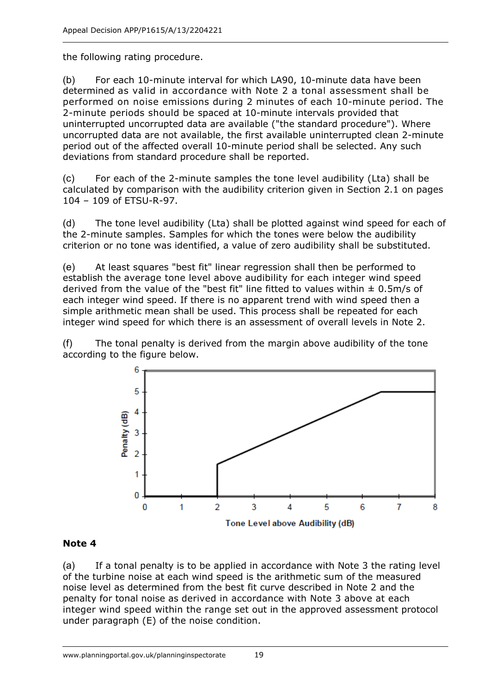the following rating procedure.

 $(b)$  For each 10-minute interval for which LA90, 10-minute data have been determined as valid in accordance with Note 2 a tonal assessment shall be performed on noise emissions during 2 minutes of each 10-minute period. The 2-minute periods should be spaced at 10-minute intervals provided that uninterrupted uncorrupted data are available ("the standard procedure"). Where uncorrupted data are not available, the first available uninterrupted clean 2-minute period out of the affected overall 10-minute period shall be selected. Any such deviations from standard procedure shall be reported.

(c) For each of the 2-minute samples the tone level audibility (Lta) shall be calculated by comparison with the audibility criterion given in Section 2.1 on pages 104 - 109 of ETSU-R-97.

 (d) The tone level audibility (Lta) shall be plotted against wind speed for each of the 2-minute samples. Samples for which the tones were below the audibility criterion or no tone was identified, a value of zero audibility shall be substituted.

 (e) At least squares "best fit" linear regression shall then be performed to establish the average tone level above audibility for each integer wind speed derived from the value of the "best fit" line fitted to values within ± 0.5m/s of each integer wind speed. If there is no apparent trend with wind speed then a simple arithmetic mean shall be used. This process shall be repeated for each integer wind speed for which there is an assessment of overall levels in Note 2.

 (f) The tonal penalty is derived from the margin above audibility of the tone according to the figure below.



## **Note 4**

 (a) If a tonal penalty is to be applied in accordance with Note 3 the rating level of the turbine noise at each wind speed is the arithmetic sum of the measured noise level as determined from the best fit curve described in Note 2 and the penalty for tonal noise as derived in accordance with Note 3 above at each integer wind speed within the range set out in the approved assessment protocol under paragraph (E) of the noise condition.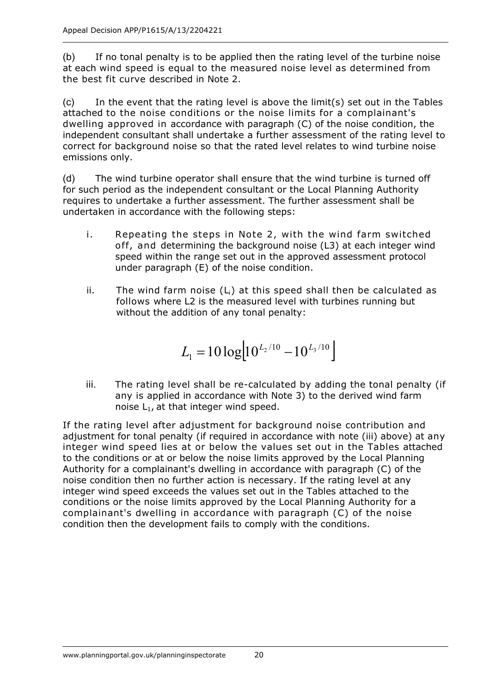(b) If no tonal penalty is to be applied then the rating level of the turbine noise at each wind speed is equal to the measured noise level as determined from the best fit curve described in Note 2.

 (c) In the event that the rating level is above the limit(s) set out in the Tables attached to the noise conditions or the noise limits for a complainant's dwelling approved in accordance with paragraph (C) of the noise condition, the independent consultant shall undertake a further assessment of the rating level to correct for background noise so that the rated level relates to wind turbine noise emissions only.

 (d) The wind turbine operator shall ensure that the wind turbine is turned off for such period as the independent consultant or the Local Planning Authority requires to undertake a further assessment. The further assessment shall be undertaken in accordance with the following steps:

- i. Repeating the steps in Note 2, with the wind farm switched off, and determining the background noise (L3) at each integer wind speed within the range set out in the approved assessment protocol under paragraph (E) of the noise condition.
- ii. The wind farm noise  $(L_i)$  at this speed shall then be calculated as follows where L2 is the measured level with turbines running but without the addition of any tonal penalty:

$$
L_1 = 10 \log[10^{L_2/10} - 10^{L_3/10}]
$$

iii. The rating level shall be re-calculated by adding the tonal penalty (if any is applied in accordance with Note 3) to the derived wind farm noise  $L_1$ , at that integer wind speed.

 If the rating level after adjustment for background noise contribution and adjustment for tonal penalty (if required in accordance with note (iii) above) at any integer wind speed lies at or below the values set out in the Tables attached to the conditions or at or below the noise limits approved by the Local Planning Authority for a complainant's dwelling in accordance with paragraph (C) of the noise condition then no further action is necessary. If the rating level at any integer wind speed exceeds the values set out in the Tables attached to the conditions or the noise limits approved by the Local Planning Authority for a complainant's dwelling in accordance with paragraph (C) of the noise condition then the development fails to comply with the conditions.